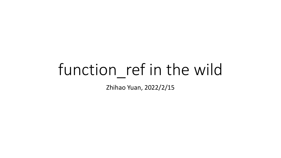# function\_ref in the wild

Zhihao Yuan, 2022/2/15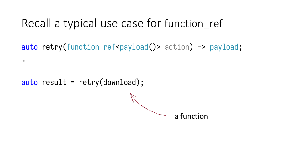#### Recall a typical use case for function ref

auto retry(function\_ref<payload()> action) -> payload;

 $auto$  result = retry(download);

…

a function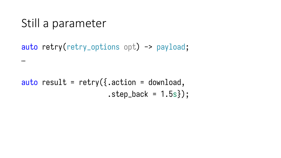#### Still a parameter

…

#### auto retry(retry\_options opt) -> payload;

#### auto result = retry( $\{.\,action = download,\,$  $. step\_back = 1.5s$ });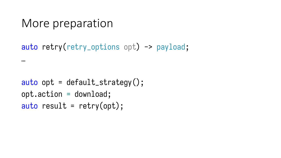#### More preparation

…

```
auto retry(retry_options opt) -> payload;
```

```
auto opt = default\_strategy();
opt.action = download;
auto result = \text{return } (opt);
```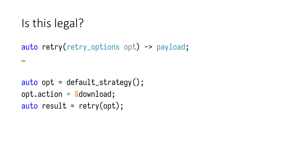## Is this legal?

…

#### auto retry(retry\_options opt) -> payload;

```
auto opt = default\_strategy();
opt. action = \&download;
auto result = \text{return } (opt);
```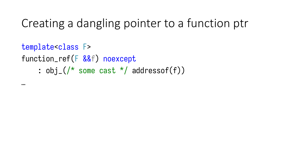## Creating a dangling pointer to a function ptr

```
template<class F>
function_ref(F &&f) noexcept
     : obj_{-} \left(\frac{1}{2}x\right) some cast x addressof(f))
```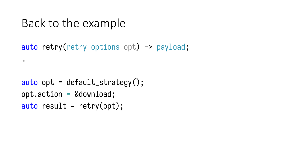#### Back to the example

…

auto retry(retry\_options opt) -> payload;

```
auto opt = default_strategy();opt.action = &download;
auto result = \text{return } (opt);
```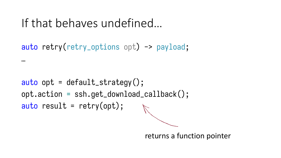## If that behaves undefined…

…

auto retry(retry\_options opt) -> payload;

```
auto opt = default_strategy();opt.action = ssh.get_download_callback();
auto result = retry(opt);
```
returns a function pointer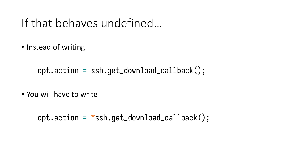#### If that behaves undefined…

• Instead of writing

opt.action = ssh.get\_download\_callback();

• You will have to write

 $opt.$  action =  $\star$ ssh.get\_download\_callback();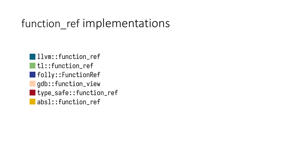#### function\_ref implementations

• llvm::function ref | tl::function\_ref • folly::FunctionRef • gdb::function\_view • type\_safe::function\_ref • absl::function\_ref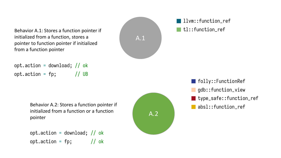Behavior A.1: Stores a function pointer if initialized from a function, stores a pointer to function pointer if initialized from a function pointer



#### **llym::function ref** tl::function\_ref

opt.action = download; // ok opt.action =  $fp$ ; // UB

> Behavior A.2: Stores a function pointer if **Behavior A.2: Stores a function** pointer if initialized from a function or a function pointer

opt.action = download; // ok opt.action =  $fp$ ; // ok



**folly::FunctionRef** gdb::function\_view **type\_safe::function\_ref**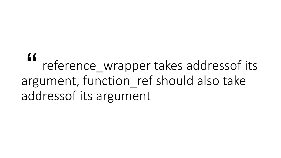reference\_wrapper takes addressof its argument, function\_ref should also take addressof its argument "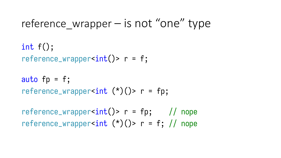#### reference wrapper  $-$  is not "one" type

int  $f()$ ; reference\_wrapper<int()>  $r = f$ ;

auto  $fp = f$ ; reference\_wrapper<int  $(*)()$ > r = fp;

reference\_wrapper<int()>  $r = fp$ ; // nope reference\_wrapper<int  $(*)()$ > r = f; // nope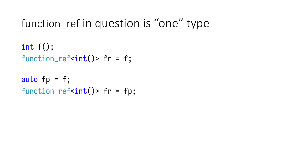### function ref in question is "one" type

```
int f();
function\_ref<int()> fr = f;
```

```
auto fp = f;
function_ref<int()> fr = fp;
```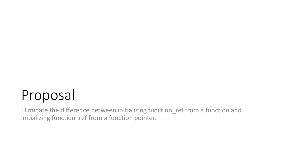## Proposal

Eliminate the difference between initializing function\_ref from a function and initializing function\_ref from a function pointer.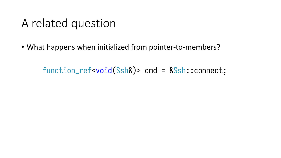#### A related question

• What happens when initialized from pointer-to-members?

function\_ref<void(Ssh&)> cmd = &Ssh::connect;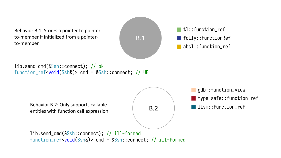Behavior B.1: Stores a pointer to pointerto-member if initialized from a pointer-



lib.send\_cmd(&Ssh::connect); // ok function\_ref<void(Ssh&)> cmd = &Ssh::connect; // UB

> Behavior B.2: Only supports callable entities with function call expression



B.2 | **Ilvm::function\_ref** gdb::function\_view **type\_safe::function\_ref** 

lib.send\_cmd(&Ssh::connect); // ill-formed function\_ref<void(Ssh&)> cmd = &Ssh::connect; // ill-formed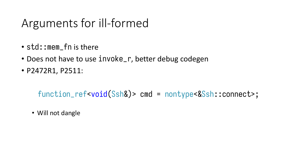## Arguments for ill-formed

- std::mem\_fn is there
- Does not have to use invoke\_r, better debug codegen
- P2472R1, P2511:

function\_ref<void(Ssh&)> cmd = nontype<&Ssh::connect>;

• Will not dangle